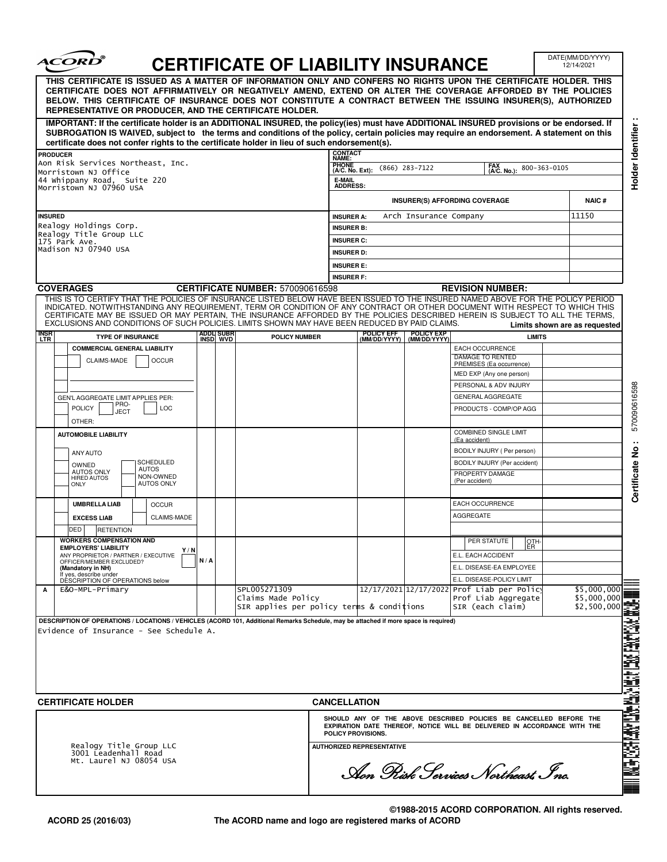| <i><b>ACORD</b></i>                                                                                                                                                                                                                                                                                                                                                                                              |                                |     |                          | <b>CERTIFICATE OF LIABILITY INSURANCE</b>                                       |                                                                                                |                                                                 |                            |                                                                                      |  | DATE(MM/DD/YYYY)<br>12/14/2021 |
|------------------------------------------------------------------------------------------------------------------------------------------------------------------------------------------------------------------------------------------------------------------------------------------------------------------------------------------------------------------------------------------------------------------|--------------------------------|-----|--------------------------|---------------------------------------------------------------------------------|------------------------------------------------------------------------------------------------|-----------------------------------------------------------------|----------------------------|--------------------------------------------------------------------------------------|--|--------------------------------|
| THIS CERTIFICATE IS ISSUED AS A MATTER OF INFORMATION ONLY AND CONFERS NO RIGHTS UPON THE CERTIFICATE HOLDER. THIS<br>CERTIFICATE DOES NOT AFFIRMATIVELY OR NEGATIVELY AMEND, EXTEND OR ALTER THE COVERAGE AFFORDED BY THE POLICIES<br>BELOW. THIS CERTIFICATE OF INSURANCE DOES NOT CONSTITUTE A CONTRACT BETWEEN THE ISSUING INSURER(S), AUTHORIZED<br>REPRESENTATIVE OR PRODUCER, AND THE CERTIFICATE HOLDER. |                                |     |                          |                                                                                 |                                                                                                |                                                                 |                            |                                                                                      |  |                                |
| IMPORTANT: If the certificate holder is an ADDITIONAL INSURED, the policy(ies) must have ADDITIONAL INSURED provisions or be endorsed. If<br>SUBROGATION IS WAIVED, subject to the terms and conditions of the policy, certain policies may require an endorsement. A statement on this<br>certificate does not confer rights to the certificate holder in lieu of such endorsement(s).                          |                                |     |                          |                                                                                 |                                                                                                |                                                                 |                            |                                                                                      |  |                                |
| <b>PRODUCER</b>                                                                                                                                                                                                                                                                                                                                                                                                  |                                |     |                          |                                                                                 | CONTACT                                                                                        |                                                                 |                            |                                                                                      |  |                                |
| Aon Risk Services Northeast, Inc.                                                                                                                                                                                                                                                                                                                                                                                |                                |     |                          |                                                                                 | <b>PHONE</b>                                                                                   | NAME:<br>FAX<br>(A/C. No.):<br>$(866)$ 283-7122<br>800-363-0105 |                            |                                                                                      |  |                                |
| Morristown NJ Office<br>44 Whippany Road, Suite 220                                                                                                                                                                                                                                                                                                                                                              |                                |     |                          |                                                                                 | E-MAIL                                                                                         | (A/C. No. Ext):                                                 |                            |                                                                                      |  |                                |
| Morristown NJ 07960 USA                                                                                                                                                                                                                                                                                                                                                                                          |                                |     |                          |                                                                                 |                                                                                                | <b>ADDRESS:</b><br>INSURER(S) AFFORDING COVERAGE                |                            |                                                                                      |  |                                |
| <b>INSURED</b>                                                                                                                                                                                                                                                                                                                                                                                                   |                                |     |                          |                                                                                 | Arch Insurance Company                                                                         |                                                                 |                            |                                                                                      |  | <b>NAIC#</b><br>11150          |
| Realogy Holdings Corp.                                                                                                                                                                                                                                                                                                                                                                                           |                                |     |                          | <b>INSURER A:</b><br><b>INSURER B:</b>                                          |                                                                                                |                                                                 |                            |                                                                                      |  |                                |
| Realogy Title Group LLC<br>175 Park Ave.                                                                                                                                                                                                                                                                                                                                                                         |                                |     |                          | <b>INSURER C:</b>                                                               |                                                                                                |                                                                 |                            |                                                                                      |  |                                |
| Madison NJ 07940 USA                                                                                                                                                                                                                                                                                                                                                                                             |                                |     |                          |                                                                                 | <b>INSURER D:</b>                                                                              |                                                                 |                            |                                                                                      |  |                                |
|                                                                                                                                                                                                                                                                                                                                                                                                                  |                                |     |                          |                                                                                 |                                                                                                | <b>INSURER E:</b>                                               |                            |                                                                                      |  |                                |
| <b>COVERAGES</b>                                                                                                                                                                                                                                                                                                                                                                                                 |                                |     |                          | <b>CERTIFICATE NUMBER: 570090616598</b>                                         |                                                                                                | <b>INSURER F:</b><br><b>REVISION NUMBER:</b>                    |                            |                                                                                      |  |                                |
| THIS IS TO CERTIFY THAT THE POLICIES OF INSURANCE LISTED BELOW HAVE BEEN ISSUED TO THE INSURED NAMED ABOVE FOR THE POLICY PERIOD                                                                                                                                                                                                                                                                                 |                                |     |                          |                                                                                 |                                                                                                |                                                                 |                            |                                                                                      |  |                                |
| INDICATED. NOTWITHSTANDING ANY REQUIREMENT, TERM OR CONDITION OF ANY CONTRACT OR OTHER DOCUMENT WITH RESPECT TO WHICH THIS<br>CERTIFICATE MAY BE ISSUED OR MAY PERTAIN, THE INSURANCE AFFORDED BY THE POLICIES DESCRIBED HEREIN IS SUBJECT TO ALL THE TERMS,<br>EXCLUSIONS AND CONDITIONS OF SUCH POLICIES. LIMITS SHOWN MAY HAVE BEEN REDUCED BY PAID CLAIMS.                                                   |                                |     |                          |                                                                                 |                                                                                                |                                                                 |                            |                                                                                      |  | Limits shown are as requested  |
| insr<br>Ltr<br><b>TYPE OF INSURANCE</b>                                                                                                                                                                                                                                                                                                                                                                          |                                |     | ADDLI SUBR<br>INSD   WVD | <b>POLICY NUMBER</b>                                                            |                                                                                                | POLICY EFF<br>(MM/DD/YYYY)                                      | POLICY EXP<br>(MM/DD/YYYY) | <b>LIMITS</b>                                                                        |  |                                |
| <b>COMMERCIAL GENERAL LIABILITY</b>                                                                                                                                                                                                                                                                                                                                                                              |                                |     |                          |                                                                                 |                                                                                                |                                                                 |                            | <b>EACH OCCURRENCE</b>                                                               |  |                                |
| CLAIMS-MADE                                                                                                                                                                                                                                                                                                                                                                                                      | <b>OCCUR</b>                   |     |                          |                                                                                 |                                                                                                |                                                                 |                            | DAMAGE TO RENTED<br>PREMISES (Ea occurrence)                                         |  |                                |
|                                                                                                                                                                                                                                                                                                                                                                                                                  |                                |     |                          |                                                                                 |                                                                                                |                                                                 |                            | MED EXP (Any one person)                                                             |  |                                |
|                                                                                                                                                                                                                                                                                                                                                                                                                  |                                |     |                          |                                                                                 |                                                                                                |                                                                 |                            | PERSONAL & ADV INJURY                                                                |  |                                |
| GEN'L AGGREGATE LIMIT APPLIES PER:                                                                                                                                                                                                                                                                                                                                                                               |                                |     |                          |                                                                                 |                                                                                                |                                                                 |                            | <b>GENERAL AGGREGATE</b>                                                             |  |                                |
| PRO-<br><b>POLICY</b><br>LOC<br><b>JECT</b>                                                                                                                                                                                                                                                                                                                                                                      |                                |     |                          |                                                                                 |                                                                                                |                                                                 |                            | PRODUCTS - COMP/OP AGG                                                               |  |                                |
| OTHER:                                                                                                                                                                                                                                                                                                                                                                                                           |                                |     |                          |                                                                                 |                                                                                                |                                                                 |                            |                                                                                      |  |                                |
| <b>AUTOMOBILE LIABILITY</b>                                                                                                                                                                                                                                                                                                                                                                                      |                                |     |                          |                                                                                 |                                                                                                |                                                                 |                            | <b>COMBINED SINGLE LIMIT</b><br>(Ea accident)                                        |  |                                |
| ANY AUTO                                                                                                                                                                                                                                                                                                                                                                                                         |                                |     |                          |                                                                                 |                                                                                                |                                                                 |                            | BODILY INJURY ( Per person)                                                          |  |                                |
| SCHEDULED<br>OWNED<br><b>AUTOS</b>                                                                                                                                                                                                                                                                                                                                                                               |                                |     |                          |                                                                                 |                                                                                                |                                                                 |                            | BODILY INJURY (Per accident)                                                         |  |                                |
| <b>AUTOS ONLY</b><br><b>HIRED AUTOS</b><br><b>ONLY</b>                                                                                                                                                                                                                                                                                                                                                           | NON-OWNED<br><b>AUTOS ONLY</b> |     |                          |                                                                                 |                                                                                                |                                                                 |                            | PROPERTY DAMAGE<br>(Per accident)                                                    |  |                                |
| <b>UMBRELLA LIAB</b>                                                                                                                                                                                                                                                                                                                                                                                             | <b>OCCUR</b>                   |     |                          |                                                                                 |                                                                                                |                                                                 |                            | <b>EACH OCCURRENCE</b>                                                               |  |                                |
| <b>EXCESS LIAB</b><br>CLAIMS-MADE                                                                                                                                                                                                                                                                                                                                                                                |                                |     |                          |                                                                                 |                                                                                                |                                                                 |                            | <b>AGGREGATE</b>                                                                     |  |                                |
| DED<br><b>RETENTION</b>                                                                                                                                                                                                                                                                                                                                                                                          |                                |     |                          |                                                                                 |                                                                                                |                                                                 |                            |                                                                                      |  |                                |
| <b>WORKERS COMPENSATION AND</b>                                                                                                                                                                                                                                                                                                                                                                                  |                                |     |                          |                                                                                 |                                                                                                |                                                                 |                            | PER STATUTE<br>OTH-                                                                  |  |                                |
| <b>EMPLOYERS' LIABILITY</b><br>Y/N<br>ANY PROPRIETOR / PARTNER / EXECUTIVE                                                                                                                                                                                                                                                                                                                                       |                                |     |                          |                                                                                 |                                                                                                |                                                                 |                            | ER.<br>E.L. EACH ACCIDENT                                                            |  |                                |
| OFFICER/MEMBER EXCLUDED?<br>(Mandatory in NH)                                                                                                                                                                                                                                                                                                                                                                    |                                | N/A |                          |                                                                                 |                                                                                                |                                                                 |                            | E.L. DISEASE-EA EMPLOYEE                                                             |  |                                |
| If yes, describe under<br>DESCRIPTION OF OPERATIONS below                                                                                                                                                                                                                                                                                                                                                        |                                |     |                          |                                                                                 |                                                                                                |                                                                 |                            | E.L. DISEASE-POLICY LIMIT                                                            |  |                                |
| E&O-MPL-Primary<br>A                                                                                                                                                                                                                                                                                                                                                                                             |                                |     |                          | SPL005271309<br>Claims Made Policy<br>SIR applies per policy terms & conditions |                                                                                                |                                                                 |                            | 12/17/2021 12/17/2022 Prof Liab per Polic<br>Prof Liab Aggregate<br>SIR (each claim) |  | \$5,000,000<br>\$5,000,000     |
| DESCRIPTION OF OPERATIONS / LOCATIONS / VEHICLES (ACORD 101, Additional Remarks Schedule, may be attached if more space is required)                                                                                                                                                                                                                                                                             |                                |     |                          |                                                                                 |                                                                                                |                                                                 |                            |                                                                                      |  |                                |
| Evidence of Insurance - See Schedule A.                                                                                                                                                                                                                                                                                                                                                                          |                                |     |                          |                                                                                 |                                                                                                |                                                                 |                            |                                                                                      |  |                                |
|                                                                                                                                                                                                                                                                                                                                                                                                                  |                                |     |                          |                                                                                 |                                                                                                |                                                                 |                            |                                                                                      |  |                                |
|                                                                                                                                                                                                                                                                                                                                                                                                                  |                                |     |                          |                                                                                 |                                                                                                |                                                                 |                            |                                                                                      |  |                                |
|                                                                                                                                                                                                                                                                                                                                                                                                                  |                                |     |                          |                                                                                 |                                                                                                |                                                                 |                            |                                                                                      |  |                                |
|                                                                                                                                                                                                                                                                                                                                                                                                                  |                                |     |                          |                                                                                 |                                                                                                |                                                                 |                            |                                                                                      |  |                                |
| <b>CERTIFICATE HOLDER</b>                                                                                                                                                                                                                                                                                                                                                                                        |                                |     | <b>CANCELLATION</b>      |                                                                                 |                                                                                                |                                                                 |                            |                                                                                      |  |                                |
|                                                                                                                                                                                                                                                                                                                                                                                                                  |                                |     |                          |                                                                                 |                                                                                                |                                                                 |                            | SHOULD ANY OF THE ABOVE DESCRIBED POLICIES BE CANCELLED BEFORE THE                   |  |                                |
| Realogy Title Group LLC<br>3001 Leadenhall Road                                                                                                                                                                                                                                                                                                                                                                  |                                |     |                          |                                                                                 | EXPIRATION DATE THEREOF, NOTICE WILL BE DELIVERED IN ACCORDANCE WITH THE<br>POLICY PROVISIONS. |                                                                 |                            |                                                                                      |  |                                |
|                                                                                                                                                                                                                                                                                                                                                                                                                  |                                |     |                          | <b>AUTHORIZED REPRESENTATIVE</b>                                                |                                                                                                |                                                                 |                            |                                                                                      |  |                                |
| Mt. Laurel NJ 08054 USA                                                                                                                                                                                                                                                                                                                                                                                          |                                |     |                          |                                                                                 |                                                                                                |                                                                 |                            |                                                                                      |  |                                |
|                                                                                                                                                                                                                                                                                                                                                                                                                  |                                |     |                          |                                                                                 |                                                                                                |                                                                 |                            | Aon Pisk Services Northeast Inc.                                                     |  |                                |
|                                                                                                                                                                                                                                                                                                                                                                                                                  |                                |     |                          |                                                                                 |                                                                                                |                                                                 |                            |                                                                                      |  |                                |

┓

**©1988-2015 ACORD CORPORATION. All rights reserved. The ACORD name and logo are registered marks of ACORD**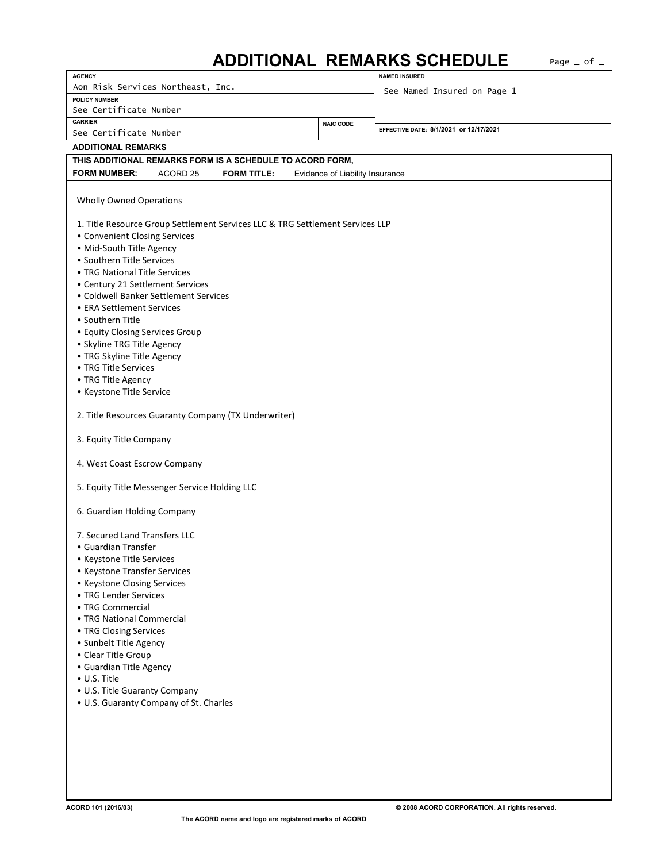## ADDITIONAL REMARKS SCHEDULE Page \_ of \_

| <b>AGENCY</b>                                                                                       | <b>NAMED INSURED</b>                   |  |  |  |  |  |  |  |
|-----------------------------------------------------------------------------------------------------|----------------------------------------|--|--|--|--|--|--|--|
| Aon Risk Services Northeast, Inc.                                                                   |                                        |  |  |  |  |  |  |  |
| <b>POLICY NUMBER</b>                                                                                | See Named Insured on Page 1            |  |  |  |  |  |  |  |
| See Certificate Number                                                                              |                                        |  |  |  |  |  |  |  |
| <b>CARRIER</b><br><b>NAIC CODE</b>                                                                  | EFFECTIVE DATE: 8/1/2021 or 12/17/2021 |  |  |  |  |  |  |  |
| See Certificate Number                                                                              |                                        |  |  |  |  |  |  |  |
| <b>ADDITIONAL REMARKS</b>                                                                           |                                        |  |  |  |  |  |  |  |
| THIS ADDITIONAL REMARKS FORM IS A SCHEDULE TO ACORD FORM,                                           |                                        |  |  |  |  |  |  |  |
| <b>FORM NUMBER:</b><br>ACORD <sub>25</sub><br><b>FORM TITLE:</b><br>Evidence of Liability Insurance |                                        |  |  |  |  |  |  |  |
|                                                                                                     |                                        |  |  |  |  |  |  |  |
| <b>Wholly Owned Operations</b>                                                                      |                                        |  |  |  |  |  |  |  |
|                                                                                                     |                                        |  |  |  |  |  |  |  |
| 1. Title Resource Group Settlement Services LLC & TRG Settlement Services LLP                       |                                        |  |  |  |  |  |  |  |
| • Convenient Closing Services                                                                       |                                        |  |  |  |  |  |  |  |
| • Mid-South Title Agency                                                                            |                                        |  |  |  |  |  |  |  |
| • Southern Title Services                                                                           |                                        |  |  |  |  |  |  |  |
| • TRG National Title Services                                                                       |                                        |  |  |  |  |  |  |  |
| • Century 21 Settlement Services                                                                    |                                        |  |  |  |  |  |  |  |
| • Coldwell Banker Settlement Services                                                               |                                        |  |  |  |  |  |  |  |
| • ERA Settlement Services                                                                           |                                        |  |  |  |  |  |  |  |
| • Southern Title                                                                                    |                                        |  |  |  |  |  |  |  |
| • Equity Closing Services Group                                                                     |                                        |  |  |  |  |  |  |  |
| • Skyline TRG Title Agency                                                                          |                                        |  |  |  |  |  |  |  |
| • TRG Skyline Title Agency                                                                          |                                        |  |  |  |  |  |  |  |
| • TRG Title Services                                                                                |                                        |  |  |  |  |  |  |  |
| • TRG Title Agency                                                                                  |                                        |  |  |  |  |  |  |  |
| • Keystone Title Service                                                                            |                                        |  |  |  |  |  |  |  |
| 2. Title Resources Guaranty Company (TX Underwriter)                                                |                                        |  |  |  |  |  |  |  |
|                                                                                                     |                                        |  |  |  |  |  |  |  |
| 3. Equity Title Company                                                                             |                                        |  |  |  |  |  |  |  |
|                                                                                                     |                                        |  |  |  |  |  |  |  |
| 4. West Coast Escrow Company                                                                        |                                        |  |  |  |  |  |  |  |
|                                                                                                     |                                        |  |  |  |  |  |  |  |
| 5. Equity Title Messenger Service Holding LLC                                                       |                                        |  |  |  |  |  |  |  |
|                                                                                                     |                                        |  |  |  |  |  |  |  |
| 6. Guardian Holding Company                                                                         |                                        |  |  |  |  |  |  |  |
| 7. Secured Land Transfers LLC                                                                       |                                        |  |  |  |  |  |  |  |
| • Guardian Transfer                                                                                 |                                        |  |  |  |  |  |  |  |
| • Keystone Title Services                                                                           |                                        |  |  |  |  |  |  |  |
| • Keystone Transfer Services                                                                        |                                        |  |  |  |  |  |  |  |
| • Keystone Closing Services                                                                         |                                        |  |  |  |  |  |  |  |
| • TRG Lender Services                                                                               |                                        |  |  |  |  |  |  |  |
| • TRG Commercial                                                                                    |                                        |  |  |  |  |  |  |  |
| • TRG National Commercial                                                                           |                                        |  |  |  |  |  |  |  |
| • TRG Closing Services                                                                              |                                        |  |  |  |  |  |  |  |
| · Sunbelt Title Agency                                                                              |                                        |  |  |  |  |  |  |  |
| • Clear Title Group                                                                                 |                                        |  |  |  |  |  |  |  |
| • Guardian Title Agency                                                                             |                                        |  |  |  |  |  |  |  |
| • U.S. Title                                                                                        |                                        |  |  |  |  |  |  |  |
| • U.S. Title Guaranty Company                                                                       |                                        |  |  |  |  |  |  |  |
| • U.S. Guaranty Company of St. Charles                                                              |                                        |  |  |  |  |  |  |  |
|                                                                                                     |                                        |  |  |  |  |  |  |  |
|                                                                                                     |                                        |  |  |  |  |  |  |  |
|                                                                                                     |                                        |  |  |  |  |  |  |  |
|                                                                                                     |                                        |  |  |  |  |  |  |  |